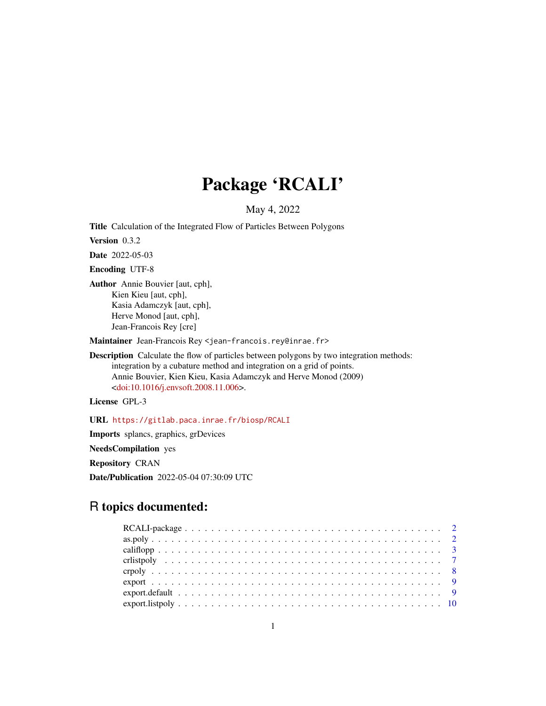# Package 'RCALI'

# May 4, 2022

<span id="page-0-0"></span>Title Calculation of the Integrated Flow of Particles Between Polygons

Version 0.3.2

Date 2022-05-03

Encoding UTF-8

Author Annie Bouvier [aut, cph], Kien Kieu [aut, cph], Kasia Adamczyk [aut, cph], Herve Monod [aut, cph], Jean-Francois Rey [cre]

Maintainer Jean-Francois Rey <jean-francois.rey@inrae.fr>

Description Calculate the flow of particles between polygons by two integration methods: integration by a cubature method and integration on a grid of points. Annie Bouvier, Kien Kieu, Kasia Adamczyk and Herve Monod (2009) [<doi:10.1016/j.envsoft.2008.11.006>](https://doi.org/10.1016/j.envsoft.2008.11.006).

License GPL-3

URL <https://gitlab.paca.inrae.fr/biosp/RCALI>

Imports splancs, graphics, grDevices

NeedsCompilation yes

Repository CRAN

Date/Publication 2022-05-04 07:30:09 UTC

# R topics documented: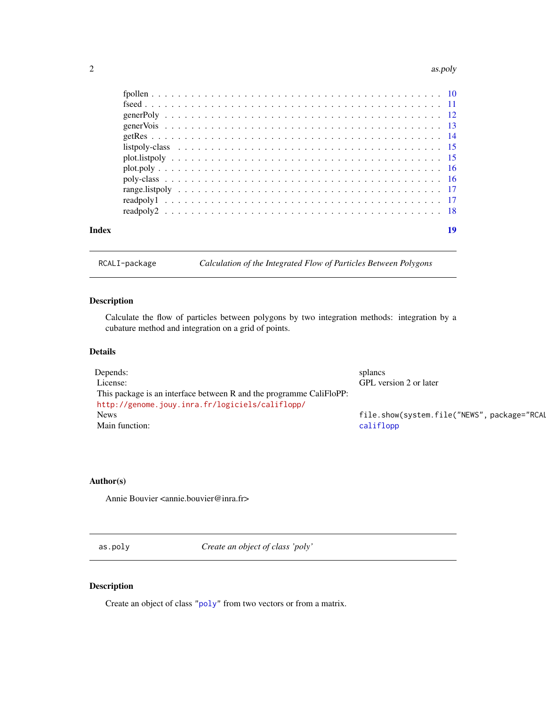#### <span id="page-1-0"></span>2 as.poly

| Index | 19 |
|-------|----|
|       |    |
|       |    |
|       |    |
|       |    |
|       |    |
|       |    |
|       |    |
|       |    |
|       |    |
|       |    |
|       |    |
|       |    |

RCALI-package *Calculation of the Integrated Flow of Particles Between Polygons*

# Description

Calculate the flow of particles between polygons by two integration methods: integration by a cubature method and integration on a grid of points.

# Details

| Depends:                                                            | splancs                                     |
|---------------------------------------------------------------------|---------------------------------------------|
| License:                                                            | GPL version 2 or later                      |
| This package is an interface between R and the programme CaliFloPP: |                                             |
| http://genome.jouy.inra.fr/logiciels/califlopp/                     |                                             |
| <b>News</b>                                                         | file.show(system.file("NEWS", package="RCAL |
| Main function:                                                      | califlopp                                   |

# Author(s)

Annie Bouvier <annie.bouvier@inra.fr>

<span id="page-1-1"></span>as.poly *Create an object of class 'poly'*

# Description

Create an object of class ["poly"](#page-15-1) from two vectors or from a matrix.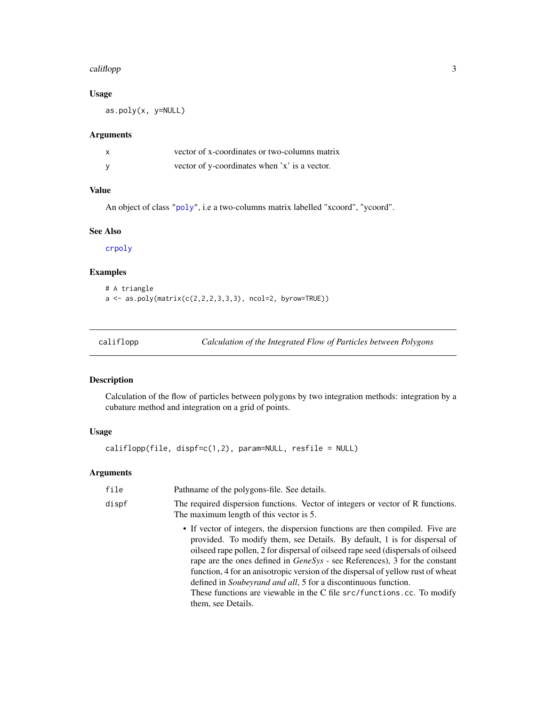#### <span id="page-2-0"></span>califlopp 3

## Usage

as.poly(x, y=NULL)

# Arguments

| vector of x-coordinates or two-columns matrix |
|-----------------------------------------------|
| vector of y-coordinates when 'x' is a vector. |

# Value

An object of class ["poly"](#page-15-1), i.e a two-columns matrix labelled "xcoord", "ycoord".

# See Also

[crpoly](#page-7-1)

# Examples

```
# A triangle
a \leftarrow as.poly(matrix(c(2,2,2,3,3,3), ncol=2, byrow=TRUE))
```
<span id="page-2-1"></span>califlopp *Calculation of the Integrated Flow of Particles between Polygons*

# Description

Calculation of the flow of particles between polygons by two integration methods: integration by a cubature method and integration on a grid of points.

# Usage

```
califlopp(file, dispf=c(1,2), param=NULL, resfile = NULL)
```
# Arguments

| file  | Pathname of the polygons-file. See details.                                                                                                                                                                                                                                                                                                                                                                                                                                                                                                                                                     |
|-------|-------------------------------------------------------------------------------------------------------------------------------------------------------------------------------------------------------------------------------------------------------------------------------------------------------------------------------------------------------------------------------------------------------------------------------------------------------------------------------------------------------------------------------------------------------------------------------------------------|
| dispf | The required dispersion functions. Vector of integers or vector of R functions.<br>The maximum length of this vector is 5.                                                                                                                                                                                                                                                                                                                                                                                                                                                                      |
|       | • If vector of integers, the dispersion functions are then compiled. Five are<br>provided. To modify them, see Details. By default, 1 is for dispersal of<br>oilseed rape pollen, 2 for dispersal of oilseed rape seed (dispersals of oilseed<br>rape are the ones defined in <i>GeneSys</i> - see References), 3 for the constant<br>function, 4 for an anisotropic version of the dispersal of yellow rust of wheat<br>defined in <i>Soubeyrand and all</i> , 5 for a discontinuous function.<br>These functions are viewable in the C file src/functions.cc. To modify<br>them, see Details. |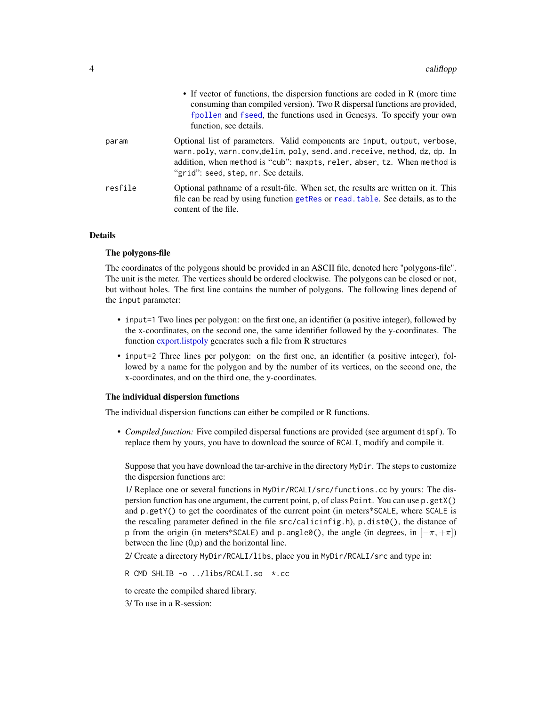<span id="page-3-0"></span>

|         | • If vector of functions, the dispersion functions are coded in R (more time<br>consuming than compiled version). Two R dispersal functions are provided,<br>fpollen and fseed, the functions used in Genesys. To specify your own<br>function, see details.            |
|---------|-------------------------------------------------------------------------------------------------------------------------------------------------------------------------------------------------------------------------------------------------------------------------|
| param   | Optional list of parameters. Valid components are input, output, verbose,<br>warn.poly, warn.conv,delim, poly, send.and.receive, method, dz, dp. In<br>addition, when method is "cub": maxpts, reler, abser, tz. When method is<br>"grid": seed, step, nr. See details. |
| resfile | Optional pathname of a result-file. When set, the results are written on it. This<br>file can be read by using function get Res or read, table. See details, as to the<br>content of the file.                                                                          |

### Details

#### The polygons-file

The coordinates of the polygons should be provided in an ASCII file, denoted here "polygons-file". The unit is the meter. The vertices should be ordered clockwise. The polygons can be closed or not, but without holes. The first line contains the number of polygons. The following lines depend of the input parameter:

- input=1 Two lines per polygon: on the first one, an identifier (a positive integer), followed by the x-coordinates, on the second one, the same identifier followed by the y-coordinates. The function [export.listpoly](#page-9-2) generates such a file from R structures
- input=2 Three lines per polygon: on the first one, an identifier (a positive integer), followed by a name for the polygon and by the number of its vertices, on the second one, the x-coordinates, and on the third one, the y-coordinates.

#### The individual dispersion functions

The individual dispersion functions can either be compiled or R functions.

• *Compiled function:* Five compiled dispersal functions are provided (see argument dispf). To replace them by yours, you have to download the source of RCALI, modify and compile it.

Suppose that you have download the tar-archive in the directory MyDir. The steps to customize the dispersion functions are:

1/ Replace one or several functions in MyDir/RCALI/src/functions.cc by yours: The dispersion function has one argument, the current point, p, of class Point. You can use p.getX() and p.getY() to get the coordinates of the current point (in meters\*SCALE, where SCALE is the rescaling parameter defined in the file  $src/calicinfig.h$ , p.dist $\theta()$ , the distance of p from the origin (in meters\*SCALE) and p.angle $\Theta$ (), the angle (in degrees, in  $[-\pi, +\pi]$ ) between the line (0,p) and the horizontal line.

2/ Create a directory MyDir/RCALI/libs, place you in MyDir/RCALI/src and type in:

R CMD SHLIB -o ../libs/RCALI.so \*.cc

to create the compiled shared library.

3/ To use in a R-session: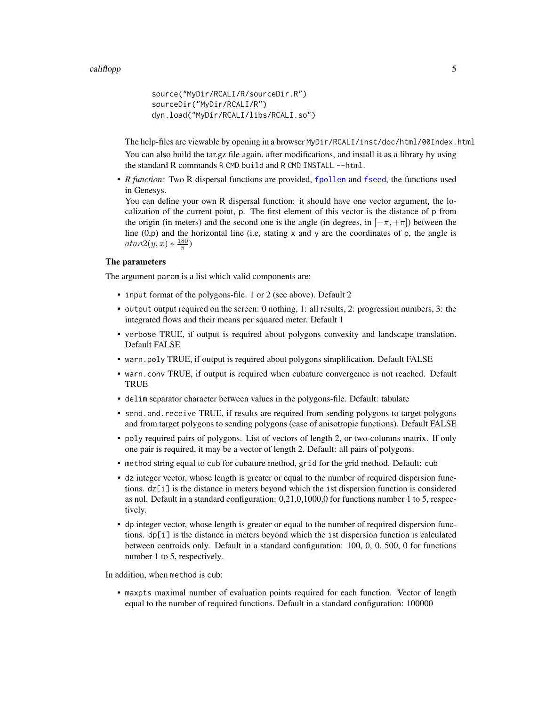```
source("MyDir/RCALI/R/sourceDir.R")
sourceDir("MyDir/RCALI/R")
dyn.load("MyDir/RCALI/libs/RCALI.so")
```
The help-files are viewable by opening in a browser MyDir/RCALI/inst/doc/html/00Index.html You can also build the tar.gz file again, after modifications, and install it as a library by using the standard R commands R CMD build and R CMD INSTALL --html.

• *R function:* Two R dispersal functions are provided, [fpollen](#page-9-1) and [fseed](#page-10-1), the functions used in Genesys.

You can define your own R dispersal function: it should have one vector argument, the localization of the current point, p. The first element of this vector is the distance of p from the origin (in meters) and the second one is the angle (in degrees, in  $[-\pi, +\pi]$ ) between the line  $(0,p)$  and the horizontal line (i.e, stating x and y are the coordinates of p, the angle is  $atan2(y, x) * \frac{180}{\pi})$ 

# The parameters

The argument param is a list which valid components are:

- input format of the polygons-file. 1 or 2 (see above). Default 2
- output output required on the screen: 0 nothing, 1: all results, 2: progression numbers, 3: the integrated flows and their means per squared meter. Default 1
- verbose TRUE, if output is required about polygons convexity and landscape translation. Default FALSE
- warn.poly TRUE, if output is required about polygons simplification. Default FALSE
- warn.conv TRUE, if output is required when cubature convergence is not reached. Default **TRUE**
- delim separator character between values in the polygons-file. Default: tabulate
- send. and. receive TRUE, if results are required from sending polygons to target polygons and from target polygons to sending polygons (case of anisotropic functions). Default FALSE
- poly required pairs of polygons. List of vectors of length 2, or two-columns matrix. If only one pair is required, it may be a vector of length 2. Default: all pairs of polygons.
- method string equal to cub for cubature method, grid for the grid method. Default: cub
- dz integer vector, whose length is greater or equal to the number of required dispersion functions. dz[i] is the distance in meters beyond which the ist dispersion function is considered as nul. Default in a standard configuration: 0,21,0,1000,0 for functions number 1 to 5, respectively.
- dp integer vector, whose length is greater or equal to the number of required dispersion functions.  $dp[i]$  is the distance in meters beyond which the ist dispersion function is calculated between centroids only. Default in a standard configuration: 100, 0, 0, 500, 0 for functions number 1 to 5, respectively.

In addition, when method is cub:

• maxpts maximal number of evaluation points required for each function. Vector of length equal to the number of required functions. Default in a standard configuration: 100000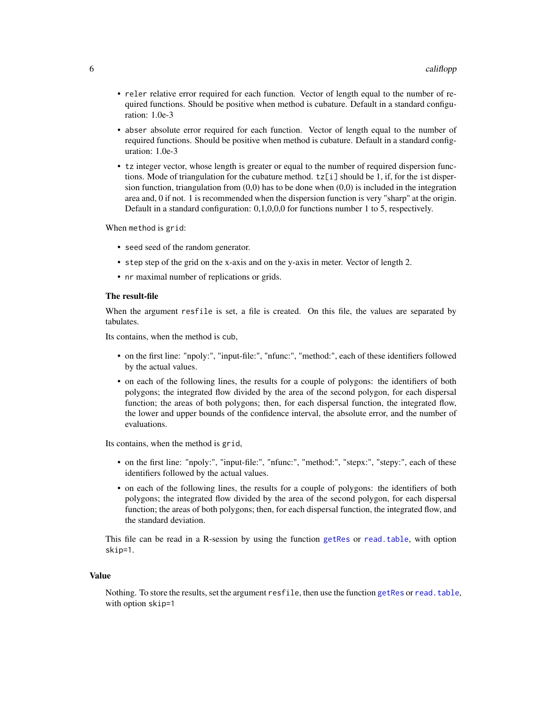- <span id="page-5-0"></span>• reler relative error required for each function. Vector of length equal to the number of required functions. Should be positive when method is cubature. Default in a standard configuration: 1.0e-3
- abser absolute error required for each function. Vector of length equal to the number of required functions. Should be positive when method is cubature. Default in a standard configuration: 1.0e-3
- tz integer vector, whose length is greater or equal to the number of required dispersion functions. Mode of triangulation for the cubature method. tz[i] should be 1, if, for the ist dispersion function, triangulation from  $(0,0)$  has to be done when  $(0,0)$  is included in the integration area and, 0 if not. 1 is recommended when the dispersion function is very "sharp" at the origin. Default in a standard configuration: 0,1,0,0,0 for functions number 1 to 5, respectively.

When method is grid:

- seed seed of the random generator.
- step step of the grid on the x-axis and on the y-axis in meter. Vector of length 2.
- nr maximal number of replications or grids.

#### The result-file

When the argument resfile is set, a file is created. On this file, the values are separated by tabulates.

Its contains, when the method is cub,

- on the first line: "npoly:", "input-file:", "nfunc:", "method:", each of these identifiers followed by the actual values.
- on each of the following lines, the results for a couple of polygons: the identifiers of both polygons; the integrated flow divided by the area of the second polygon, for each dispersal function; the areas of both polygons; then, for each dispersal function, the integrated flow, the lower and upper bounds of the confidence interval, the absolute error, and the number of evaluations.

Its contains, when the method is grid,

- on the first line: "npoly:", "input-file:", "nfunc:", "method:", "stepx:", "stepy:", each of these identifiers followed by the actual values.
- on each of the following lines, the results for a couple of polygons: the identifiers of both polygons; the integrated flow divided by the area of the second polygon, for each dispersal function; the areas of both polygons; then, for each dispersal function, the integrated flow, and the standard deviation.

This file can be read in a R-session by using the function [getRes](#page-13-1) or [read.table](#page-0-0), with option skip=1.

#### Value

Nothing. To store the results, set the argument resfile, then use the function [getRes](#page-13-1) or [read.table](#page-0-0), with option skip=1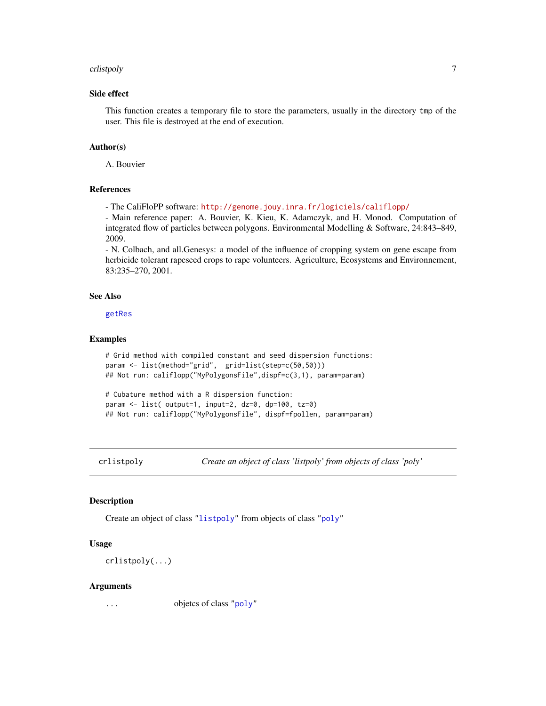#### <span id="page-6-0"></span>crlistpoly and the control of the control of the control of the control of the control of the control of the control of the control of the control of the control of the control of the control of the control of the control

# Side effect

This function creates a temporary file to store the parameters, usually in the directory tmp of the user. This file is destroyed at the end of execution.

# Author(s)

A. Bouvier

#### References

- The CaliFloPP software: <http://genome.jouy.inra.fr/logiciels/califlopp/>

- Main reference paper: A. Bouvier, K. Kieu, K. Adamczyk, and H. Monod. Computation of integrated flow of particles between polygons. Environmental Modelling & Software, 24:843–849, 2009.

- N. Colbach, and all.Genesys: a model of the influence of cropping system on gene escape from herbicide tolerant rapeseed crops to rape volunteers. Agriculture, Ecosystems and Environnement, 83:235–270, 2001.

#### See Also

[getRes](#page-13-1)

#### Examples

```
# Grid method with compiled constant and seed dispersion functions:
param <- list(method="grid", grid=list(step=c(50,50)))
## Not run: califlopp("MyPolygonsFile",dispf=c(3,1), param=param)
# Cubature method with a R dispersion function:
```

```
param <- list( output=1, input=2, dz=0, dp=100, tz=0)
## Not run: califlopp("MyPolygonsFile", dispf=fpollen, param=param)
```
<span id="page-6-1"></span>

crlistpoly *Create an object of class 'listpoly' from objects of class 'poly'*

#### Description

Create an object of class ["listpoly"](#page-14-1) from objects of class ["poly"](#page-15-1)

#### Usage

crlistpoly(...)

#### Arguments

... objetcs of class ["poly"](#page-15-1)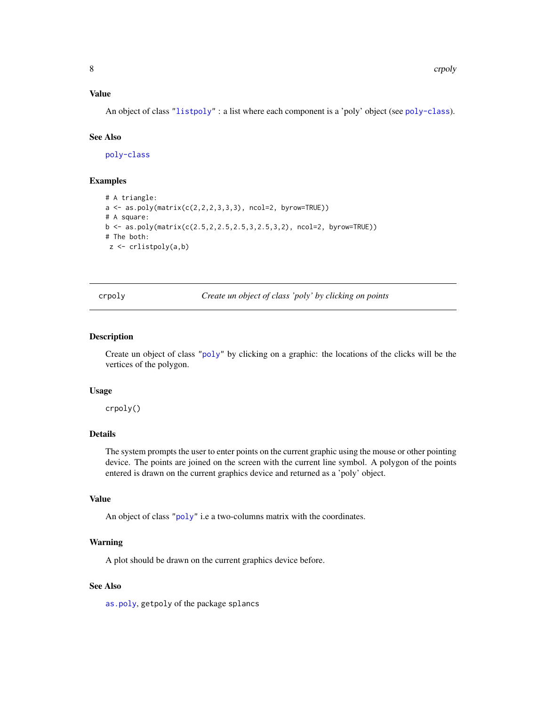#### <span id="page-7-0"></span>Value

An object of class ["listpoly"](#page-14-1) : a list where each component is a 'poly' object (see [poly-class](#page-15-1)).

# See Also

[poly-class](#page-15-1)

# Examples

```
# A triangle:
a \leftarrow as.poly(matrix(c(2,2,2,3,3,3), ncol=2, byrow=True))# A square:
b \leq -as.poly(matrix(c(2.5, 2, 2.5, 2.5, 3, 2.5, 3, 2), ncol=2, byrow=TRUE))# The both:
z <- crlistpoly(a,b)
```
<span id="page-7-1"></span>crpoly *Create un object of class 'poly' by clicking on points*

#### Description

Create un object of class ["poly"](#page-15-1) by clicking on a graphic: the locations of the clicks will be the vertices of the polygon.

#### Usage

crpoly()

# Details

The system prompts the user to enter points on the current graphic using the mouse or other pointing device. The points are joined on the screen with the current line symbol. A polygon of the points entered is drawn on the current graphics device and returned as a 'poly' object.

#### Value

An object of class ["poly"](#page-15-1) i.e a two-columns matrix with the coordinates.

#### Warning

A plot should be drawn on the current graphics device before.

#### See Also

[as.poly](#page-1-1), getpoly of the package splancs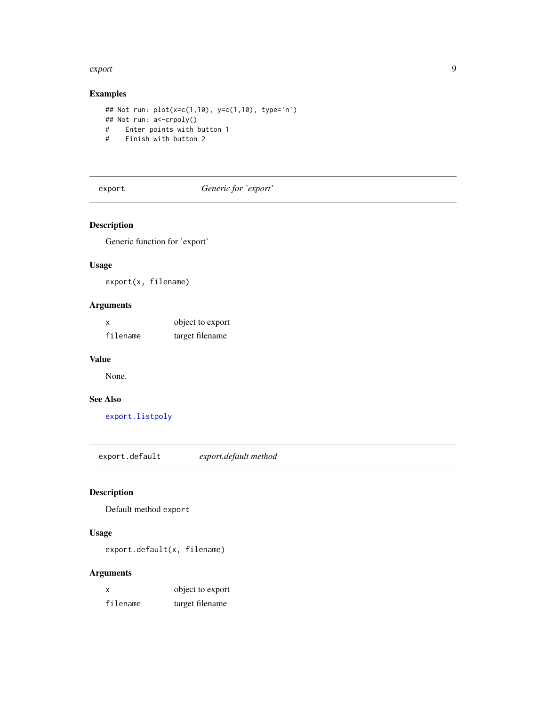#### <span id="page-8-0"></span>export to the contract of the contract of the contract of the contract of the contract of the contract of the contract of the contract of the contract of the contract of the contract of the contract of the contract of the

# Examples

```
## Not run: plot(x=c(1,10), y=c(1,10), type='n')
## Not run: a<-crpoly()
# Enter points with button 1
# Finish with button 2
```
# export *Generic for 'export'*

# Description

Generic function for 'export'

#### Usage

export(x, filename)

# Arguments

| $\boldsymbol{\mathsf{x}}$ | object to export |
|---------------------------|------------------|
| filename                  | target filename  |

# Value

None.

# See Also

[export.listpoly](#page-9-2)

export.default *export.default method*

# Description

Default method export

# Usage

export.default(x, filename)

# Arguments

| x        | object to export |
|----------|------------------|
| filename | target filename  |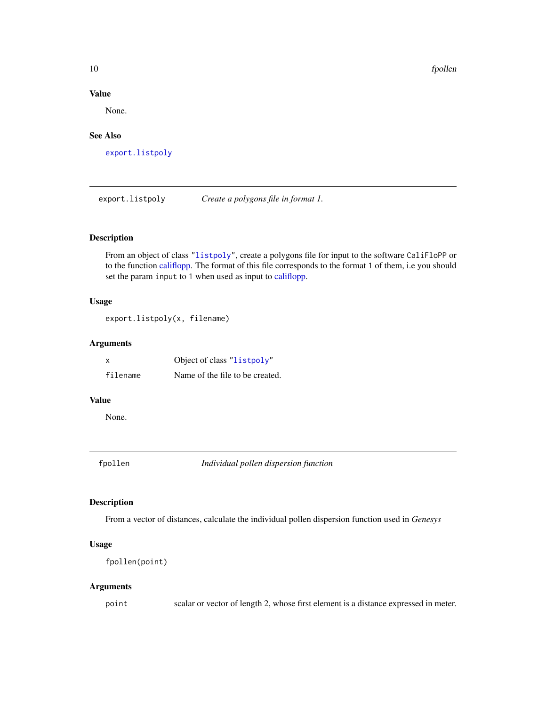10 fpollen

# Value

None.

# See Also

[export.listpoly](#page-9-2)

<span id="page-9-2"></span>export.listpoly *Create a polygons file in format 1.*

#### Description

From an object of class ["listpoly"](#page-14-1), create a polygons file for input to the software CaliFloPP or to the function [califlopp.](#page-2-1) The format of this file corresponds to the format 1 of them, i.e you should set the param input to 1 when used as input to [califlopp.](#page-2-1)

### Usage

```
export.listpoly(x, filename)
```
# Arguments

| X        | Object of class "listpoly"      |
|----------|---------------------------------|
| filename | Name of the file to be created. |

#### Value

None.

<span id="page-9-1"></span>fpollen *Individual pollen dispersion function*

# Description

From a vector of distances, calculate the individual pollen dispersion function used in *Genesys*

# Usage

```
fpollen(point)
```
#### Arguments

point scalar or vector of length 2, whose first element is a distance expressed in meter.

<span id="page-9-0"></span>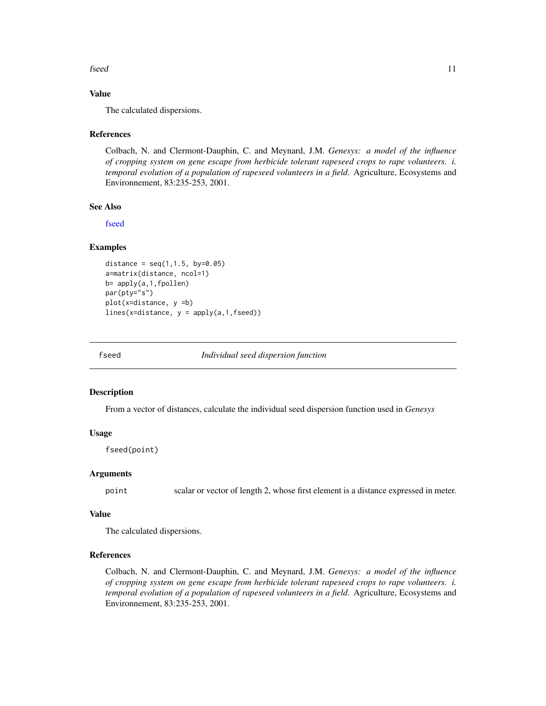#### <span id="page-10-0"></span>fseed 11

# Value

The calculated dispersions.

#### References

Colbach, N. and Clermont-Dauphin, C. and Meynard, J.M. *Genesys: a model of the influence of cropping system on gene escape from herbicide tolerant rapeseed crops to rape volunteers. i. temporal evolution of a population of rapeseed volunteers in a field*. Agriculture, Ecosystems and Environnement, 83:235-253, 2001.

#### See Also

[fseed](#page-10-1)

## Examples

```
distance = seq(1, 1.5, by=0.05)a=matrix(distance, ncol=1)
b= apply(a,1,fpollen)
par(pty="s")
plot(x=distance, y =b)
lines(x=distance, y = apply(a, 1, fseed))
```
<span id="page-10-1"></span>

fseed *Individual seed dispersion function*

#### **Description**

From a vector of distances, calculate the individual seed dispersion function used in *Genesys*

### Usage

fseed(point)

#### Arguments

point scalar or vector of length 2, whose first element is a distance expressed in meter.

#### Value

The calculated dispersions.

#### References

Colbach, N. and Clermont-Dauphin, C. and Meynard, J.M. *Genesys: a model of the influence of cropping system on gene escape from herbicide tolerant rapeseed crops to rape volunteers. i. temporal evolution of a population of rapeseed volunteers in a field*. Agriculture, Ecosystems and Environnement, 83:235-253, 2001.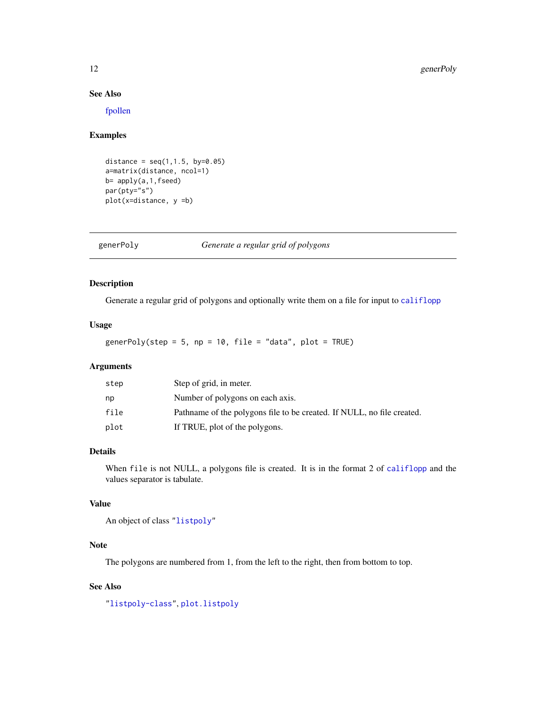#### See Also

[fpollen](#page-9-1)

# Examples

```
distance = seq(1, 1.5, by=0.05)a=matrix(distance, ncol=1)
b = apply(a, 1, fseed)par(pty="s")
plot(x=distance, y =b)
```
<span id="page-11-1"></span>generPoly *Generate a regular grid of polygons*

# Description

Generate a regular grid of polygons and optionally write them on a file for input to [califlopp](#page-2-1)

# Usage

generPoly(step =  $5$ , np =  $10$ , file = "data", plot = TRUE)

# Arguments

| step | Step of grid, in meter.                                                |
|------|------------------------------------------------------------------------|
| np   | Number of polygons on each axis.                                       |
| file | Pathname of the polygons file to be created. If NULL, no file created. |
| plot | If TRUE, plot of the polygons.                                         |

# Details

When file is not NULL, a polygons file is created. It is in the format 2 of [califlopp](#page-2-1) and the values separator is tabulate.

#### Value

An object of class ["listpoly"](#page-14-1)

# Note

The polygons are numbered from 1, from the left to the right, then from bottom to top.

# See Also

["listpoly-class"](#page-14-1), [plot.listpoly](#page-14-2)

<span id="page-11-0"></span>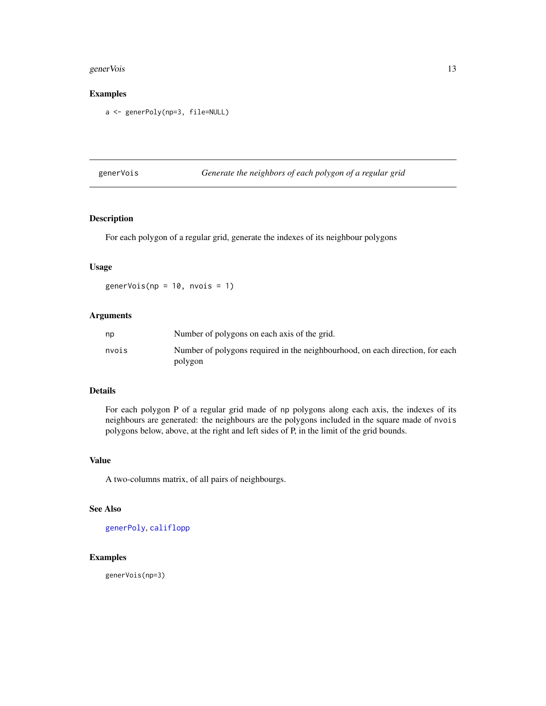#### <span id="page-12-0"></span>generVois and the set of the set of the set of the set of the set of the set of the set of the set of the set of the set of the set of the set of the set of the set of the set of the set of the set of the set of the set of

# Examples

a <- generPoly(np=3, file=NULL)

generVois *Generate the neighbors of each polygon of a regular grid*

# Description

For each polygon of a regular grid, generate the indexes of its neighbour polygons

# Usage

 $generVois(np = 10, nvois = 1)$ 

# Arguments

| np    | Number of polygons on each axis of the grid.                                  |
|-------|-------------------------------------------------------------------------------|
| nvois | Number of polygons required in the neighbourhood, on each direction, for each |
|       | polygon                                                                       |

#### Details

For each polygon P of a regular grid made of np polygons along each axis, the indexes of its neighbours are generated: the neighbours are the polygons included in the square made of nvois polygons below, above, at the right and left sides of P, in the limit of the grid bounds.

#### Value

A two-columns matrix, of all pairs of neighbourgs.

#### See Also

[generPoly](#page-11-1), [califlopp](#page-2-1)

#### Examples

generVois(np=3)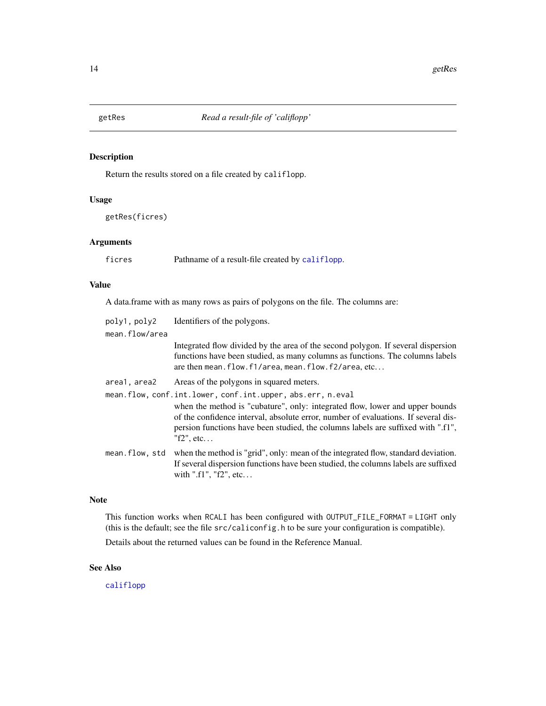<span id="page-13-1"></span><span id="page-13-0"></span>

# Description

Return the results stored on a file created by califlopp.

#### Usage

getRes(ficres)

# Arguments

ficres Pathname of a result-file created by [califlopp](#page-2-1).

# Value

A data.frame with as many rows as pairs of polygons on the file. The columns are:

| poly1, poly2   | Identifiers of the polygons.                                                                                                                                                                                                                                                                                                         |
|----------------|--------------------------------------------------------------------------------------------------------------------------------------------------------------------------------------------------------------------------------------------------------------------------------------------------------------------------------------|
| mean.flow/area |                                                                                                                                                                                                                                                                                                                                      |
|                | Integrated flow divided by the area of the second polygon. If several dispersion<br>functions have been studied, as many columns as functions. The columns labels<br>are then mean. flow. f1/area, mean. flow. f2/area, etc                                                                                                          |
| area1, area2   | Areas of the polygons in squared meters.                                                                                                                                                                                                                                                                                             |
|                | mean.flow, conf.int.lower, conf.int.upper, abs.err, n.eval<br>when the method is "cubature", only: integrated flow, lower and upper bounds<br>of the confidence interval, absolute error, number of evaluations. If several dis-<br>persion functions have been studied, the columns labels are suffixed with ".f1",<br>"f2", $etc.$ |
| mean.flow, std | when the method is "grid", only: mean of the integrated flow, standard deviation.<br>If several dispersion functions have been studied, the columns labels are suffixed<br>with ".f1", " $f2$ ", etc                                                                                                                                 |

# Note

This function works when RCALI has been configured with OUTPUT\_FILE\_FORMAT = LIGHT only (this is the default; see the file src/caliconfig.h to be sure your configuration is compatible).

Details about the returned values can be found in the Reference Manual.

# See Also

[califlopp](#page-2-1)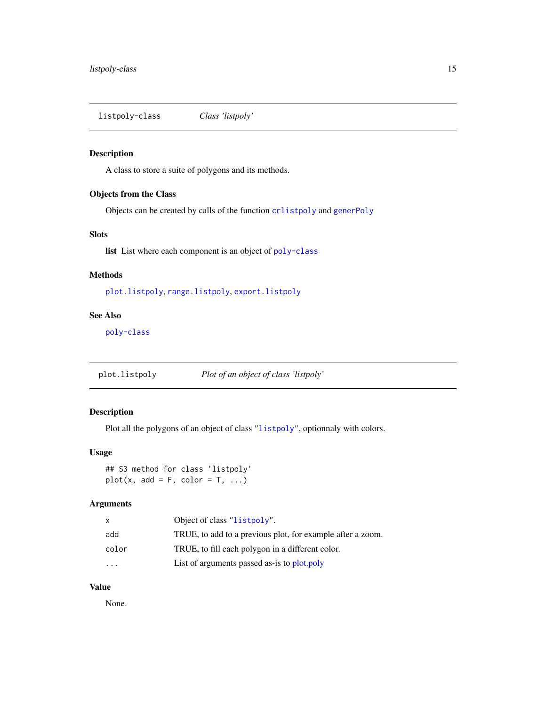<span id="page-14-1"></span><span id="page-14-0"></span>listpoly-class *Class 'listpoly'*

# Description

A class to store a suite of polygons and its methods.

# Objects from the Class

Objects can be created by calls of the function [crlistpoly](#page-6-1) and [generPoly](#page-11-1)

# Slots

list List where each component is an object of [poly-class](#page-15-1)

# Methods

[plot.listpoly](#page-14-2), [range.listpoly](#page-16-1), [export.listpoly](#page-9-2)

#### See Also

[poly-class](#page-15-1)

<span id="page-14-2"></span>plot.listpoly *Plot of an object of class 'listpoly'*

# Description

Plot all the polygons of an object of class ["listpoly"](#page-14-1), optionnaly with colors.

# Usage

## S3 method for class 'listpoly'  $plot(x, add = F, color = T, ...)$ 

#### Arguments

| x                       | Object of class "listpoly".                                |
|-------------------------|------------------------------------------------------------|
| add                     | TRUE, to add to a previous plot, for example after a zoom. |
| color                   | TRUE, to fill each polygon in a different color.           |
| $\cdot$ $\cdot$ $\cdot$ | List of arguments passed as-is to plot.poly                |

# Value

None.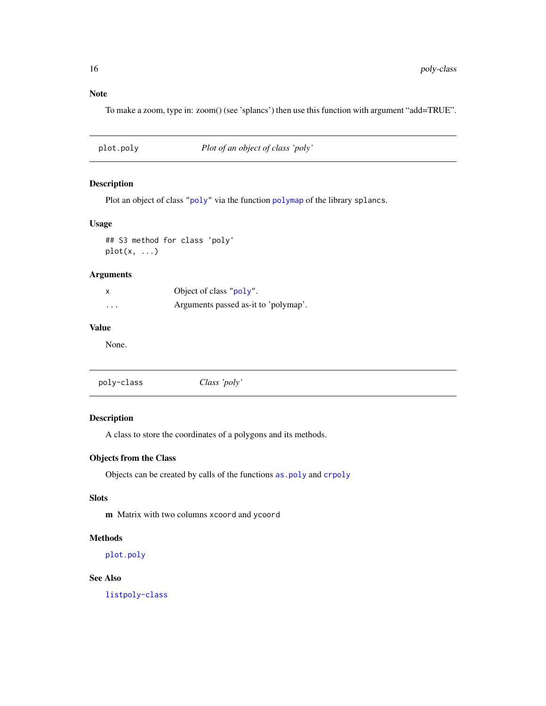<span id="page-15-0"></span>To make a zoom, type in: zoom() (see 'splancs') then use this function with argument "add=TRUE".

<span id="page-15-2"></span>plot.poly *Plot of an object of class 'poly'*

# Description

Plot an object of class ["poly"](#page-15-1) via the function [polymap](#page-0-0) of the library splancs.

# Usage

## S3 method for class 'poly'  $plot(x, \ldots)$ 

# Arguments

| X        | Object of class "poly".              |
|----------|--------------------------------------|
| $\cdots$ | Arguments passed as-it to 'polymap'. |

# Value

None.

<span id="page-15-1"></span>

| poly-class | Class 'poly' |
|------------|--------------|
|            |              |

# Description

A class to store the coordinates of a polygons and its methods.

# Objects from the Class

Objects can be created by calls of the functions [as.poly](#page-1-1) and [crpoly](#page-7-1)

# Slots

m Matrix with two columns xcoord and ycoord

# Methods

[plot.poly](#page-15-2)

### See Also

[listpoly-class](#page-14-1)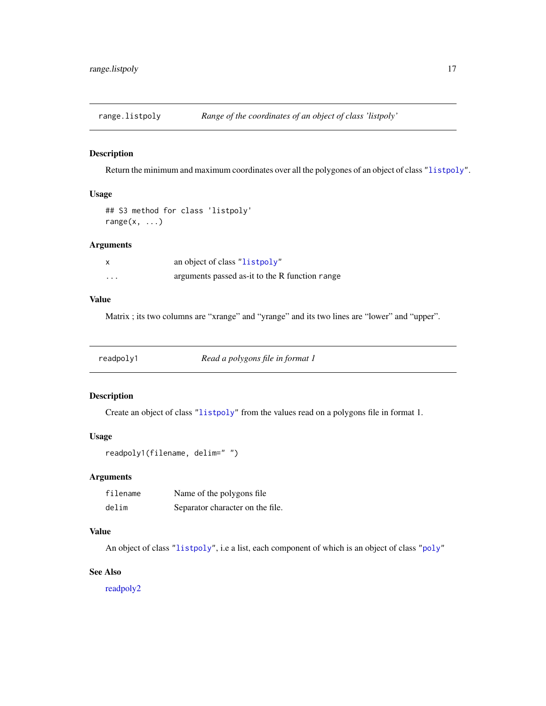<span id="page-16-1"></span><span id="page-16-0"></span>

# Description

Return the minimum and maximum coordinates over all the polygones of an object of class ["listpoly"](#page-14-1).

# Usage

```
## S3 method for class 'listpoly'
range(x, \ldots)
```
# Arguments

|         | an object of class "listpoly"                  |
|---------|------------------------------------------------|
| $\cdot$ | arguments passed as-it to the R function range |

# Value

Matrix ; its two columns are "xrange" and "yrange" and its two lines are "lower" and "upper".

<span id="page-16-2"></span>readpoly1 *Read a polygons file in format 1*

# Description

Create an object of class ["listpoly"](#page-14-1) from the values read on a polygons file in format 1.

# Usage

```
readpoly1(filename, delim=" ")
```
# Arguments

| filename | Name of the polygons file        |
|----------|----------------------------------|
| delim    | Separator character on the file. |

# Value

An object of class ["listpoly"](#page-14-1), i.e a list, each component of which is an object of class ["poly"](#page-15-1)

#### See Also

[readpoly2](#page-17-1)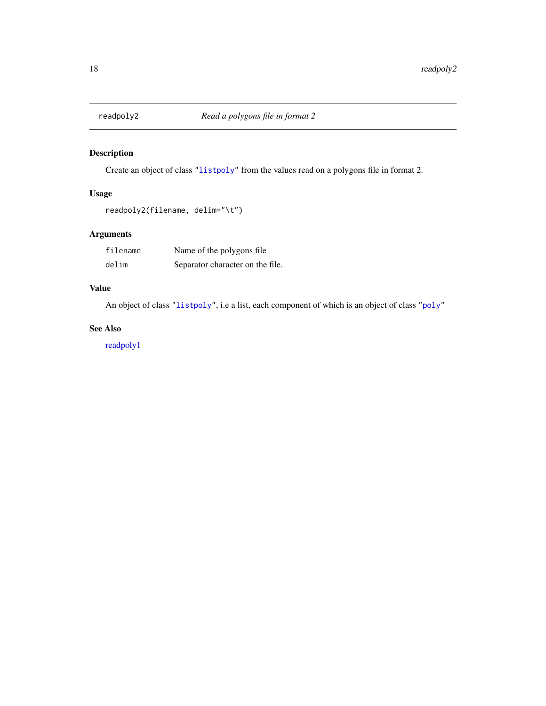<span id="page-17-1"></span><span id="page-17-0"></span>

# Description

Create an object of class ["listpoly"](#page-14-1) from the values read on a polygons file in format 2.

# Usage

```
readpoly2(filename, delim="\t")
```
# Arguments

| filename | Name of the polygons file        |
|----------|----------------------------------|
| delim    | Separator character on the file. |

# Value

An object of class ["listpoly"](#page-14-1), i.e a list, each component of which is an object of class ["poly"](#page-15-1)

# See Also

[readpoly1](#page-16-2)